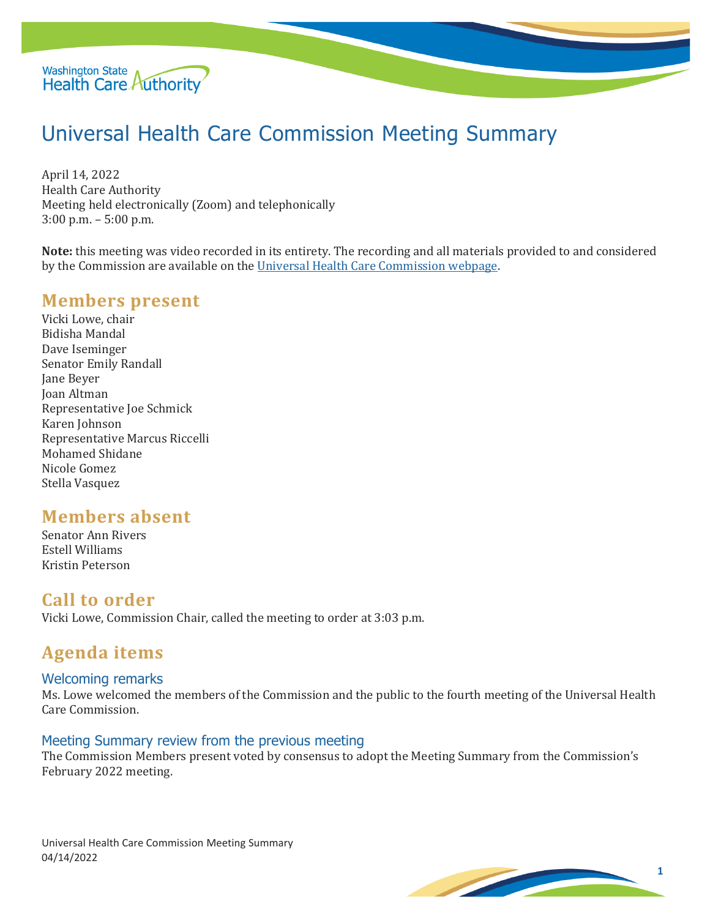

# Universal Health Care Commission Meeting Summary

April 14, 2022 Health Care Authority Meeting held electronically (Zoom) and telephonically 3:00 p.m. – 5:00 p.m.

**Note:** this meeting was video recorded in its entirety. The recording and all materials provided to and considered by the Commission are available on the [Universal Health Care Commission webpage.](file://///HCAFLCSP002/SECURED/DPA%20Policy/Cost%20Board/Minutes/Universal%20Health%20Care%20Commission%20webpage)

### **Members present**

Vicki Lowe, chair Bidisha Mandal Dave Iseminger Senator Emily Randall Jane Beyer Joan Altman Representative Joe Schmick Karen Johnson Representative Marcus Riccelli Mohamed Shidane Nicole Gomez Stella Vasquez

### **Members absent**

Senator Ann Rivers Estell Williams Kristin Peterson

#### **Call to order**

Vicki Lowe, Commission Chair, called the meeting to order at 3:03 p.m.

### **Agenda items**

#### Welcoming remarks

Ms. Lowe welcomed the members of the Commission and the public to the fourth meeting of the Universal Health Care Commission.

#### Meeting Summary review from the previous meeting

The Commission Members present voted by consensus to adopt the Meeting Summary from the Commission's February 2022 meeting.

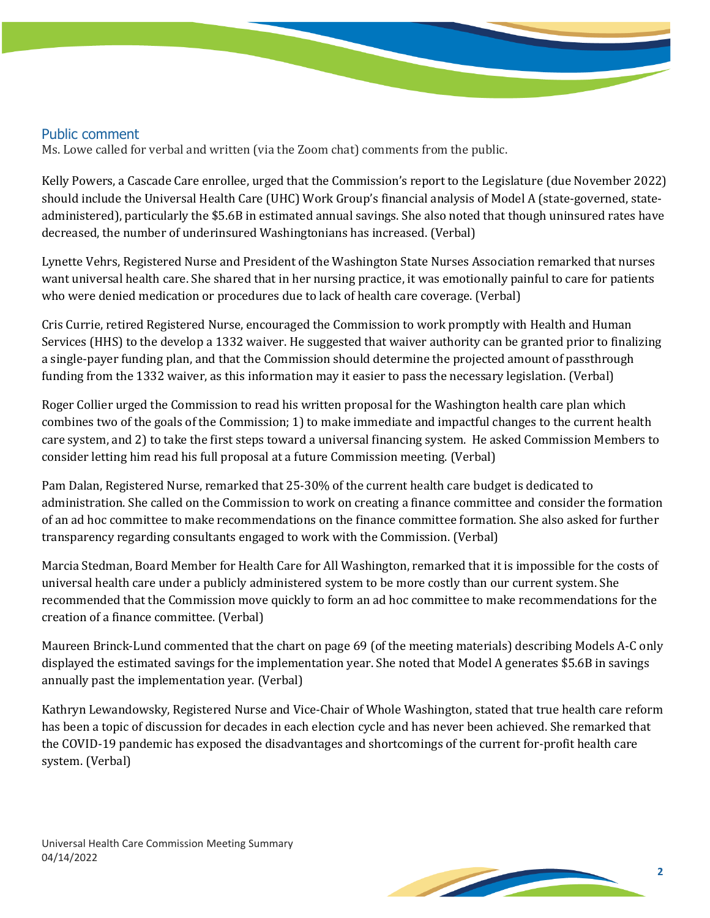#### Public comment

Ms. Lowe called for verbal and written (via the Zoom chat) comments from the public.

Kelly Powers, a Cascade Care enrollee, urged that the Commission's report to the Legislature (due November 2022) should include the Universal Health Care (UHC) Work Group's financial analysis of Model A (state-governed, stateadministered), particularly the \$5.6B in estimated annual savings. She also noted that though uninsured rates have decreased, the number of underinsured Washingtonians has increased. (Verbal)

Lynette Vehrs, Registered Nurse and President of the Washington State Nurses Association remarked that nurses want universal health care. She shared that in her nursing practice, it was emotionally painful to care for patients who were denied medication or procedures due to lack of health care coverage. (Verbal)

Cris Currie, retired Registered Nurse, encouraged the Commission to work promptly with Health and Human Services (HHS) to the develop a 1332 waiver. He suggested that waiver authority can be granted prior to finalizing a single-payer funding plan, and that the Commission should determine the projected amount of passthrough funding from the 1332 waiver, as this information may it easier to pass the necessary legislation. (Verbal)

Roger Collier urged the Commission to read his written proposal for the Washington health care plan which combines two of the goals of the Commission; 1) to make immediate and impactful changes to the current health care system, and 2) to take the first steps toward a universal financing system. He asked Commission Members to consider letting him read his full proposal at a future Commission meeting. (Verbal)

Pam Dalan, Registered Nurse, remarked that 25-30% of the current health care budget is dedicated to administration. She called on the Commission to work on creating a finance committee and consider the formation of an ad hoc committee to make recommendations on the finance committee formation. She also asked for further transparency regarding consultants engaged to work with the Commission. (Verbal)

Marcia Stedman, Board Member for Health Care for All Washington, remarked that it is impossible for the costs of universal health care under a publicly administered system to be more costly than our current system. She recommended that the Commission move quickly to form an ad hoc committee to make recommendations for the creation of a finance committee. (Verbal)

Maureen Brinck-Lund commented that the chart on page 69 (of the meeting materials) describing Models A-C only displayed the estimated savings for the implementation year. She noted that Model A generates \$5.6B in savings annually past the implementation year. (Verbal)

Kathryn Lewandowsky, Registered Nurse and Vice-Chair of Whole Washington, stated that true health care reform has been a topic of discussion for decades in each election cycle and has never been achieved. She remarked that the COVID-19 pandemic has exposed the disadvantages and shortcomings of the current for-profit health care system. (Verbal)

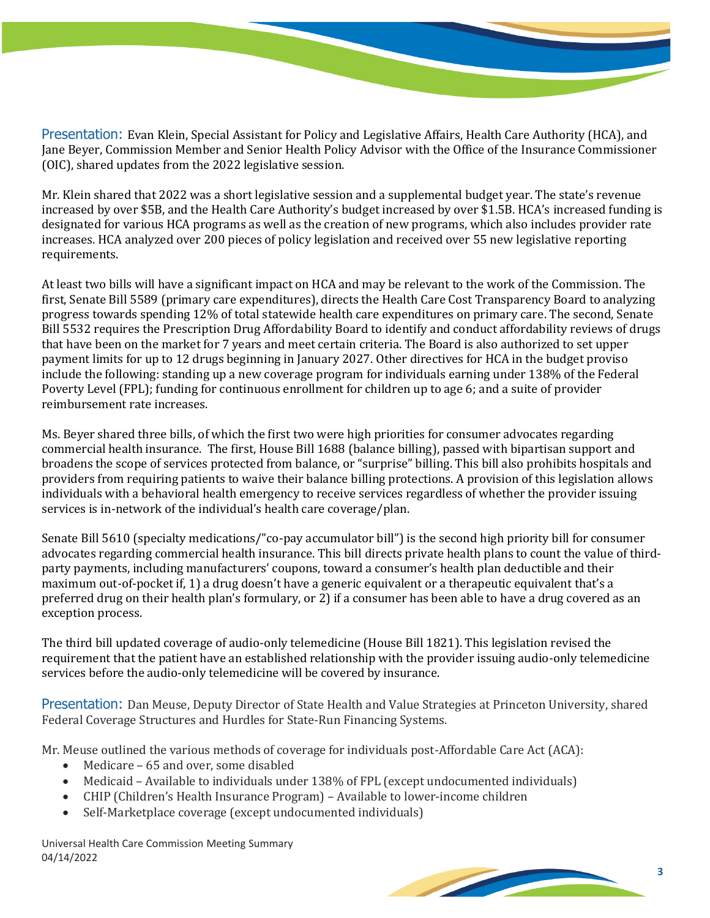Presentation: Evan Klein, Special Assistant for Policy and Legislative Affairs, Health Care Authority (HCA), and Jane Beyer, Commission Member and Senior Health Policy Advisor with the Office of the Insurance Commissioner (OIC), shared updates from the 2022 legislative session.

Mr. Klein shared that 2022 was a short legislative session and a supplemental budget year. The state's revenue increased by over \$5B, and the Health Care Authority's budget increased by over \$1.5B. HCA's increased funding is designated for various HCA programs as well as the creation of new programs, which also includes provider rate increases. HCA analyzed over 200 pieces of policy legislation and received over 55 new legislative reporting requirements.

At least two bills will have a significant impact on HCA and may be relevant to the work of the Commission. The first, Senate Bill 5589 (primary care expenditures), directs the Health Care Cost Transparency Board to analyzing progress towards spending 12% of total statewide health care expenditures on primary care. The second, Senate Bill 5532 requires the Prescription Drug Affordability Board to identify and conduct affordability reviews of drugs that have been on the market for 7 years and meet certain criteria. The Board is also authorized to set upper payment limits for up to 12 drugs beginning in January 2027. Other directives for HCA in the budget proviso include the following: standing up a new coverage program for individuals earning under 138% of the Federal Poverty Level (FPL); funding for continuous enrollment for children up to age 6; and a suite of provider reimbursement rate increases.

Ms. Beyer shared three bills, of which the first two were high priorities for consumer advocates regarding commercial health insurance. The first, House Bill 1688 (balance billing), passed with bipartisan support and broadens the scope of services protected from balance, or "surprise" billing. This bill also prohibits hospitals and providers from requiring patients to waive their balance billing protections. A provision of this legislation allows individuals with a behavioral health emergency to receive services regardless of whether the provider issuing services is in-network of the individual's health care coverage/plan.

Senate Bill 5610 (specialty medications/"co-pay accumulator bill") is the second high priority bill for consumer advocates regarding commercial health insurance. This bill directs private health plans to count the value of thirdparty payments, including manufacturers' coupons, toward a consumer's health plan deductible and their maximum out-of-pocket if, 1) a drug doesn't have a generic equivalent or a therapeutic equivalent that's a preferred drug on their health plan's formulary, or 2) if a consumer has been able to have a drug covered as an exception process.

The third bill updated coverage of audio-only telemedicine (House Bill 1821). This legislation revised the requirement that the patient have an established relationship with the provider issuing audio-only telemedicine services before the audio-only telemedicine will be covered by insurance.

Presentation: Dan Meuse, Deputy Director of State Health and Value Strategies at Princeton University, shared Federal Coverage Structures and Hurdles for State-Run Financing Systems.

Mr. Meuse outlined the various methods of coverage for individuals post-Affordable Care Act (ACA):

- Medicare 65 and over, some disabled
- Medicaid Available to individuals under 138% of FPL (except undocumented individuals)
- CHIP (Children's Health Insurance Program) Available to lower-income children
- Self-Marketplace coverage (except undocumented individuals)

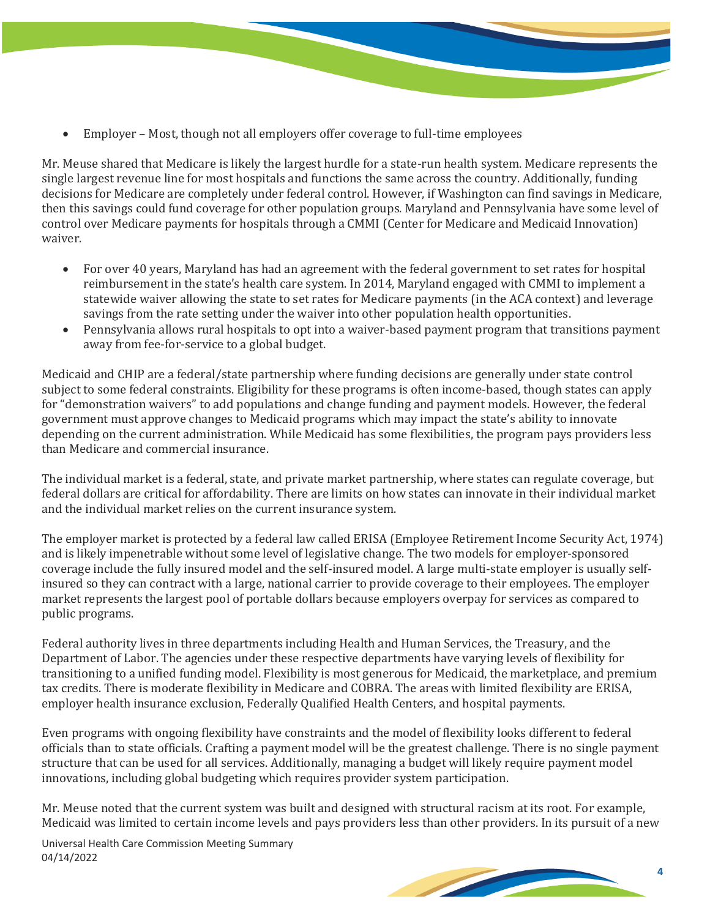- - Employer Most, though not all employers offer coverage to full-time employees

Mr. Meuse shared that Medicare is likely the largest hurdle for a state-run health system. Medicare represents the single largest revenue line for most hospitals and functions the same across the country. Additionally, funding decisions for Medicare are completely under federal control. However, if Washington can find savings in Medicare, then this savings could fund coverage for other population groups. Maryland and Pennsylvania have some level of control over Medicare payments for hospitals through a CMMI (Center for Medicare and Medicaid Innovation) waiver.

- For over 40 years, Maryland has had an agreement with the federal government to set rates for hospital reimbursement in the state's health care system. In 2014, Maryland engaged with CMMI to implement a statewide waiver allowing the state to set rates for Medicare payments (in the ACA context) and leverage savings from the rate setting under the waiver into other population health opportunities.
- Pennsylvania allows rural hospitals to opt into a waiver-based payment program that transitions payment away from fee-for-service to a global budget.

Medicaid and CHIP are a federal/state partnership where funding decisions are generally under state control subject to some federal constraints. Eligibility for these programs is often income-based, though states can apply for "demonstration waivers" to add populations and change funding and payment models. However, the federal government must approve changes to Medicaid programs which may impact the state's ability to innovate depending on the current administration. While Medicaid has some flexibilities, the program pays providers less than Medicare and commercial insurance.

The individual market is a federal, state, and private market partnership, where states can regulate coverage, but federal dollars are critical for affordability. There are limits on how states can innovate in their individual market and the individual market relies on the current insurance system.

The employer market is protected by a federal law called ERISA (Employee Retirement Income Security Act, 1974) and is likely impenetrable without some level of legislative change. The two models for employer-sponsored coverage include the fully insured model and the self-insured model. A large multi-state employer is usually selfinsured so they can contract with a large, national carrier to provide coverage to their employees. The employer market represents the largest pool of portable dollars because employers overpay for services as compared to public programs.

Federal authority lives in three departments including Health and Human Services, the Treasury, and the Department of Labor. The agencies under these respective departments have varying levels of flexibility for transitioning to a unified funding model. Flexibility is most generous for Medicaid, the marketplace, and premium tax credits. There is moderate flexibility in Medicare and COBRA. The areas with limited flexibility are ERISA, employer health insurance exclusion, Federally Qualified Health Centers, and hospital payments.

Even programs with ongoing flexibility have constraints and the model of flexibility looks different to federal officials than to state officials. Crafting a payment model will be the greatest challenge. There is no single payment structure that can be used for all services. Additionally, managing a budget will likely require payment model innovations, including global budgeting which requires provider system participation.

Mr. Meuse noted that the current system was built and designed with structural racism at its root. For example, Medicaid was limited to certain income levels and pays providers less than other providers. In its pursuit of a new

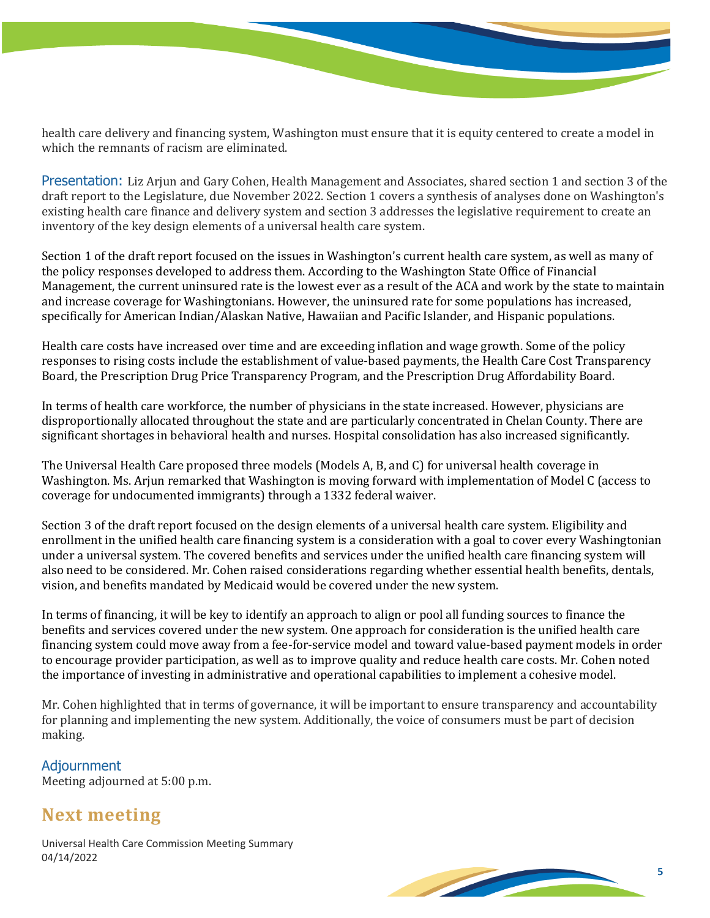health care delivery and financing system, Washington must ensure that it is equity centered to create a model in which the remnants of racism are eliminated.

Presentation: Liz Arjun and Gary Cohen, Health Management and Associates, shared section 1 and section 3 of the draft report to the Legislature, due November 2022. Section 1 covers a synthesis of analyses done on Washington's existing health care finance and delivery system and section 3 addresses the legislative requirement to create an inventory of the key design elements of a universal health care system.

Section 1 of the draft report focused on the issues in Washington's current health care system, as well as many of the policy responses developed to address them. According to the Washington State Office of Financial Management, the current uninsured rate is the lowest ever as a result of the ACA and work by the state to maintain and increase coverage for Washingtonians. However, the uninsured rate for some populations has increased, specifically for American Indian/Alaskan Native, Hawaiian and Pacific Islander, and Hispanic populations.

Health care costs have increased over time and are exceeding inflation and wage growth. Some of the policy responses to rising costs include the establishment of value-based payments, the Health Care Cost Transparency Board, the Prescription Drug Price Transparency Program, and the Prescription Drug Affordability Board.

In terms of health care workforce, the number of physicians in the state increased. However, physicians are disproportionally allocated throughout the state and are particularly concentrated in Chelan County. There are significant shortages in behavioral health and nurses. Hospital consolidation has also increased significantly.

The Universal Health Care proposed three models (Models A, B, and C) for universal health coverage in Washington. Ms. Arjun remarked that Washington is moving forward with implementation of Model C (access to coverage for undocumented immigrants) through a 1332 federal waiver.

Section 3 of the draft report focused on the design elements of a universal health care system. Eligibility and enrollment in the unified health care financing system is a consideration with a goal to cover every Washingtonian under a universal system. The covered benefits and services under the unified health care financing system will also need to be considered. Mr. Cohen raised considerations regarding whether essential health benefits, dentals, vision, and benefits mandated by Medicaid would be covered under the new system.

In terms of financing, it will be key to identify an approach to align or pool all funding sources to finance the benefits and services covered under the new system. One approach for consideration is the unified health care financing system could move away from a fee-for-service model and toward value-based payment models in order to encourage provider participation, as well as to improve quality and reduce health care costs. Mr. Cohen noted the importance of investing in administrative and operational capabilities to implement a cohesive model.

Mr. Cohen highlighted that in terms of governance, it will be important to ensure transparency and accountability for planning and implementing the new system. Additionally, the voice of consumers must be part of decision making.

Adjournment Meeting adjourned at 5:00 p.m.

## **Next meeting**